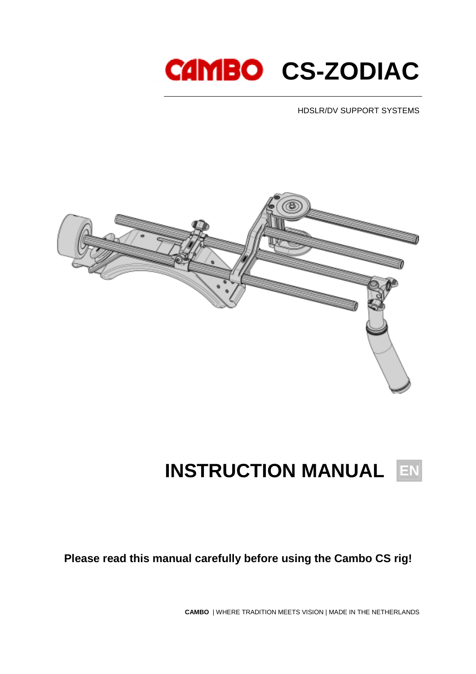# **CAMBO CS-ZODIAC**

HDSLR/DV SUPPORT SYSTEMS



## **INSTRUCTION MANUAL EN**

**Please read this manual carefully before using the Cambo CS rig!** 

**CAMBO** | WHERE TRADITION MEETS VISION | MADE IN THE NETHERLANDS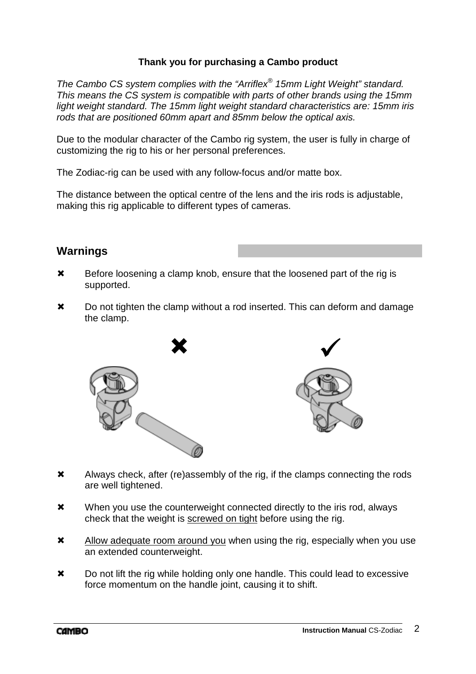#### **Thank you for purchasing a Cambo product**

The Cambo CS system complies with the "Arriflex® 15mm Light Weight" standard. This means the CS system is compatible with parts of other brands using the 15mm light weight standard. The 15mm light weight standard characteristics are: 15mm iris rods that are positioned 60mm apart and 85mm below the optical axis.

Due to the modular character of the Cambo rig system, the user is fully in charge of customizing the rig to his or her personal preferences.

The Zodiac-rig can be used with any follow-focus and/or matte box.

The distance between the optical centre of the lens and the iris rods is adjustable, making this rig applicable to different types of cameras.

## **Warnings**

- **\*** Before loosening a clamp knob, ensure that the loosened part of the rig is supported.
- $\boldsymbol{\times}$  Do not tighten the clamp without a rod inserted. This can deform and damage the clamp.





- Always check, after (re)assembly of the rig, if the clamps connecting the rods are well tightened.
- **\*** When you use the counterweight connected directly to the iris rod, always check that the weight is screwed on tight before using the rig.
- **X** Allow adequate room around you when using the rig, especially when you use an extended counterweight.
- $\boldsymbol{\times}$  Do not lift the rig while holding only one handle. This could lead to excessive force momentum on the handle joint, causing it to shift.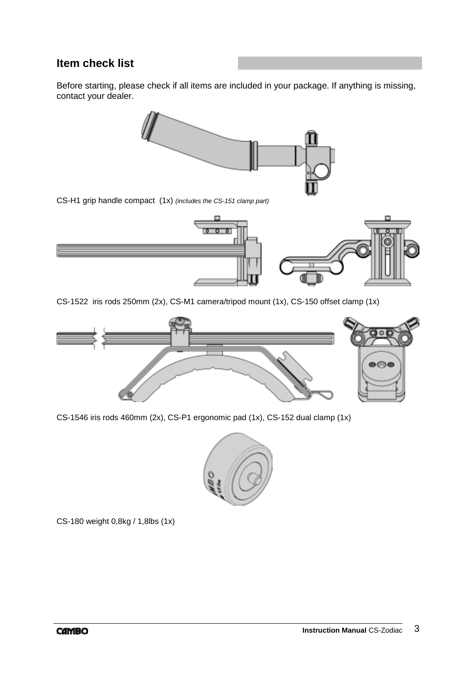## **Item check list**

Before starting, please check if all items are included in your package. If anything is missing, contact your dealer.



CS-H1 grip handle compact (1x) (includes the CS-151 clamp part)



CS-1522 iris rods 250mm (2x), CS-M1 camera/tripod mount (1x), CS-150 offset clamp (1x)



CS-1546 iris rods 460mm (2x), CS-P1 ergonomic pad (1x), CS-152 dual clamp (1x)



CS-180 weight 0,8kg / 1,8lbs (1x)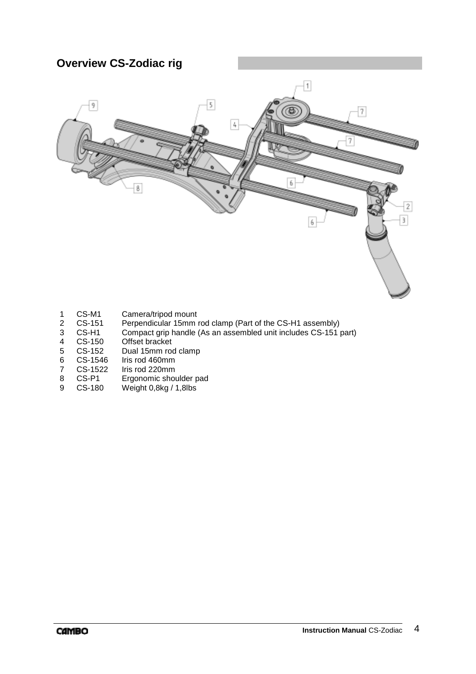## **Overview CS-Zodiac rig**



- 1 CS-M1 Camera/tripod mount<br>2 CS-151 Perpendicular 15mm r
- 2 CS-151 Perpendicular 15mm rod clamp (Part of the CS-H1 assembly)<br>3 CS-H1 Compact grip handle (As an assembled unit includes CS-151 p
- 3 CS-H1 Compact grip handle (As an assembled unit includes CS-151 part)
- 4 CS-150 Offset bracket
- 5 CS-152 Dual 15mm rod clamp
- 
- 6 CS-1546 Iris rod 460mm<br>7 CS-1522 Iris rod 220mm 7 CS-1522 Iris rod 220mm<br>8 CS-P1 Ergonomic shou
- Ergonomic shoulder pad
- 9 CS-180 Weight 0,8kg / 1,8lbs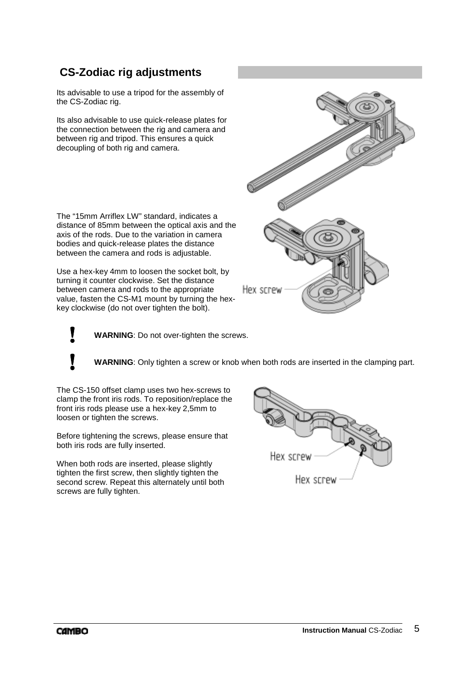## **CS-Zodiac rig adjustments**

Its advisable to use a tripod for the assembly of the CS-Zodiac rig.

Its also advisable to use quick-release plates for the connection between the rig and camera and between rig and tripod. This ensures a quick decoupling of both rig and camera.

The "15mm Arriflex LW" standard, indicates a distance of 85mm between the optical axis and the axis of the rods. Due to the variation in camera bodies and quick-release plates the distance between the camera and rods is adjustable.

Use a hex-key 4mm to loosen the socket bolt, by turning it counter clockwise. Set the distance between camera and rods to the appropriate value, fasten the CS-M1 mount by turning the hexkey clockwise (do not over tighten the bolt).

**! WARNING**: Do not over-tighten the screws.

**! WARNING**: Only tighten a screw or knob when both rods are inserted in the clamping part.

The CS-150 offset clamp uses two hex-screws to clamp the front iris rods. To reposition/replace the front iris rods please use a hex-key 2,5mm to loosen or tighten the screws.

Before tightening the screws, please ensure that both iris rods are fully inserted.

When both rods are inserted, please slightly tighten the first screw, then slightly tighten the second screw. Repeat this alternately until both screws are fully tighten.



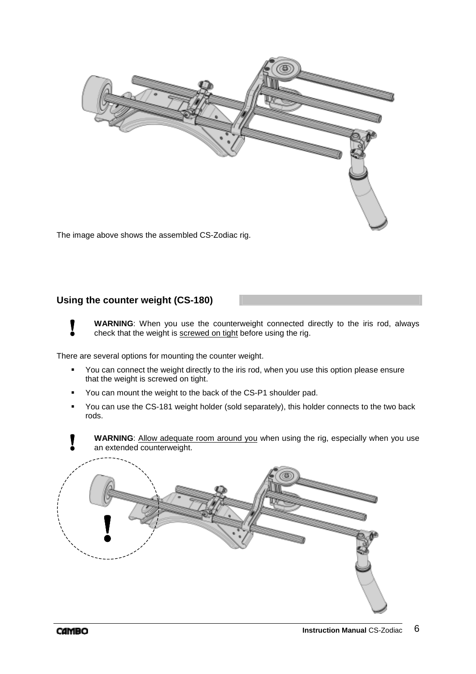

The image above shows the assembled CS-Zodiac rig.

#### **Using the counter weight (CS-180)**

**WARNING**: When you use the counterweight connected directly to the iris rod, always check that the weight is screwed on tight before using the rig.

There are several options for mounting the counter weight.

- You can connect the weight directly to the iris rod, when you use this option please ensure that the weight is screwed on tight.
- You can mount the weight to the back of the CS-P1 shoulder pad.
- You can use the CS-181 weight holder (sold separately), this holder connects to the two back rods.

**WARNING**: Allow adequate room around you when using the rig, especially when you use an extended counterweight.

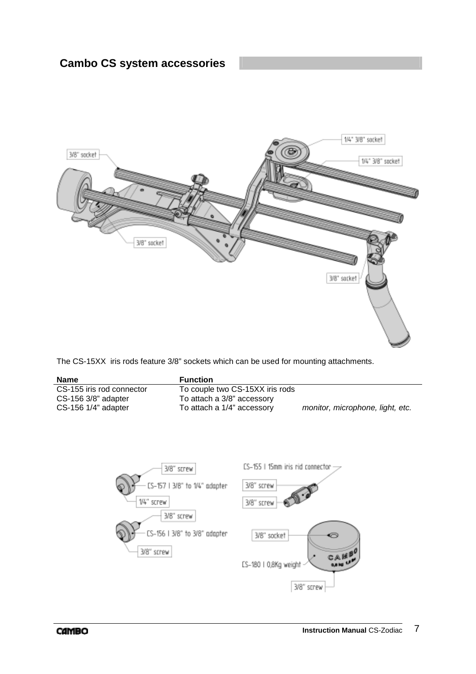

The CS-15XX iris rods feature 3/8" sockets which can be used for mounting attachments.

| <b>Name</b>               | <b>Function</b>                 |                                  |
|---------------------------|---------------------------------|----------------------------------|
| CS-155 iris rod connector | To couple two CS-15XX iris rods |                                  |
| CS-156 3/8" adapter       | To attach a 3/8" accessory      |                                  |
| $CS-156$ 1/4" adapter     | To attach a 1/4" accessory      | monitor, microphone, light, etc. |

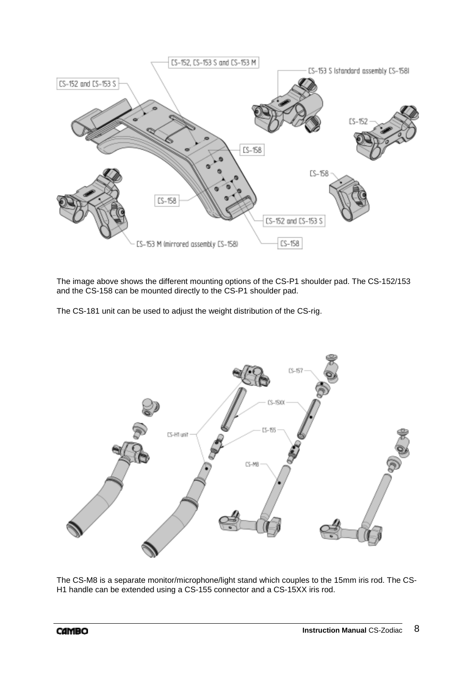

The image above shows the different mounting options of the CS-P1 shoulder pad. The CS-152/153 and the CS-158 can be mounted directly to the CS-P1 shoulder pad.

The CS-181 unit can be used to adjust the weight distribution of the CS-rig.



The CS-M8 is a separate monitor/microphone/light stand which couples to the 15mm iris rod. The CS-H1 handle can be extended using a CS-155 connector and a CS-15XX iris rod.